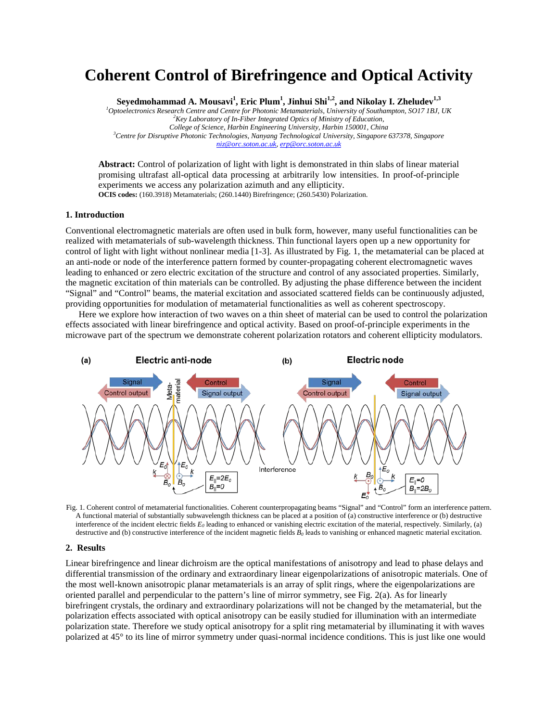## **Coherent Control of Birefringence and Optical Activity**

 $S$ eyedmohammad A. Mousavi $^1$ , Eric Plum $^1$ , Jinhui Shi $^{1,2}$ , and Nikolay I. Zheludev $^{1,3}$ 

*1 Optoelectronics Research Centre and Centre for Photonic Metamaterials, University of Southampton, SO17 1BJ, UK <sup>2</sup> Key Laboratory of In-Fiber Integrated Optics of Ministry of Education, College of Science, Harbin Engineering University, Harbin 150001, China 3 Centre for Disruptive Photonic Technologies, Nanyang Technological University, Singapore 637378, Singapore [niz@orc.soton.ac.uk,](mailto:niz@orc.soton.ac.uk) [erp@orc.soton.ac.uk](mailto:erp@orc.soton.ac.uk)*

**Abstract:** Control of polarization of light with light is demonstrated in thin slabs of linear material promising ultrafast all-optical data processing at arbitrarily low intensities. In proof-of-principle experiments we access any polarization azimuth and any ellipticity. **OCIS codes:** (160.3918) Metamaterials; (260.1440) Birefringence; (260.5430) Polarization.

## **1. Introduction**

Conventional electromagnetic materials are often used in bulk form, however, many useful functionalities can be realized with metamaterials of sub-wavelength thickness. Thin functional layers open up a new opportunity for control of light with light without nonlinear media [1-3]. As illustrated by Fig. 1, the metamaterial can be placed at an anti-node or node of the interference pattern formed by counter-propagating coherent electromagnetic waves leading to enhanced or zero electric excitation of the structure and control of any associated properties. Similarly, the magnetic excitation of thin materials can be controlled. By adjusting the phase difference between the incident "Signal" and "Control" beams, the material excitation and associated scattered fields can be continuously adjusted, providing opportunities for modulation of metamaterial functionalities as well as coherent spectroscopy.

Here we explore how interaction of two waves on a thin sheet of material can be used to control the polarization effects associated with linear birefringence and optical activity. Based on proof-of-principle experiments in the microwave part of the spectrum we demonstrate coherent polarization rotators and coherent ellipticity modulators.



Fig. 1. Coherent control of metamaterial functionalities. Coherent counterpropagating beams "Signal" and "Control" form an interference pattern. A functional material of substantially subwavelength thickness can be placed at a position of (a) constructive interference or (b) destructive interference of the incident electric fields *E0* leading to enhanced or vanishing electric excitation of the material, respectively. Similarly, (a) destructive and (b) constructive interference of the incident magnetic fields  $B_0$  leads to vanishing or enhanced magnetic material excitation.

## **2. Results**

Linear birefringence and linear dichroism are the optical manifestations of anisotropy and lead to phase delays and differential transmission of the ordinary and extraordinary linear eigenpolarizations of anisotropic materials. One of the most well-known anisotropic planar metamaterials is an array of split rings, where the eigenpolarizations are oriented parallel and perpendicular to the pattern's line of mirror symmetry, see Fig. 2(a). As for linearly birefringent crystals, the ordinary and extraordinary polarizations will not be changed by the metamaterial, but the polarization effects associated with optical anisotropy can be easily studied for illumination with an intermediate polarization state. Therefore we study optical anisotropy for a split ring metamaterial by illuminating it with waves polarized at 45° to its line of mirror symmetry under quasi-normal incidence conditions. This is just like one would